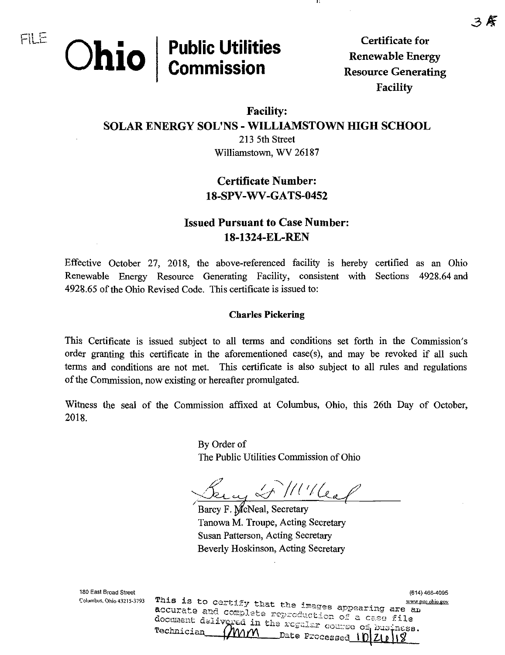# **Ohio Public Utilities Commission**

**Certificate for Renewable Energy Resource Generating Facility**

#### **Facility:**

**SOLAR ENERGY SOL'NS - WILLIAMSTOWN HIGH SCHOOL**

-11

213 5th Street Williamstown, WV 26187

## **Certificate Number: 18-SPV-WV-GATS-0452**

## **Issued Pursuant to Case Number: 18-1324-EL-REN**

Effective October 27, 2018, the above-referenced facility is hereby certified as an Ohio Renewable Energy Resource Generating Facility, consistent with Sections 4928.64 and 4928.65 of the Ohio Revised Code. This certificate is issued to:

#### **Charles Pickering**

This Certificate is issued subject to all terms and conditions set forth in the Commission's order granting this certificate in the aforementioned case(s), and may be revoked if all such terms and conditions are not met. This certificate is also subject to all rules and regulations of the Commission, now existing or hereafter promulgated.

Witness the seal of the Commission affixed at Columbus, Ohio, this 26th Day of October, 2018.

> By Order of The Public Utilities Commission of Ohio

**4/** ■N

Barcy F. McNeal, Secretary Tanowa M. Troupe, Acting Secretary Susan Patterson, Acting Secretary Beverly Hoskinson, Acting Secretary

180 East Broad Street (614)<br>Columbus, Ohio 43215-3793 This is to certify that the images appearing are an www.puc.ohio.gov accurate and complete reproduction of a case file<br>document delivered in the regular course of business.<br>Technician (MM) hate Freenant in 71.1.0 **\_Bate Processed <sup>1</sup> D Zip ) \ §**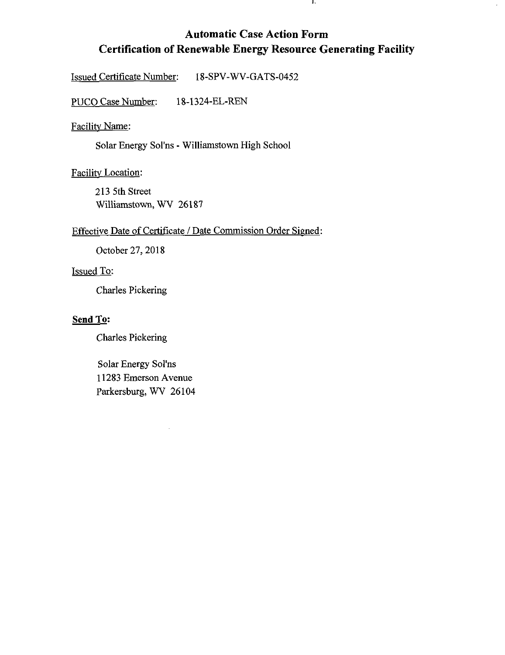# Automatic Case Action Form Certification of Renewable Energy Resource Generating Facility

л,

 $\hat{\boldsymbol{\epsilon}}$ 

Issued Certificate Number: 18-SPV-WV-GATS-0452

PUCO Case Number: 18-1324-EL-REN

Facility Name:

Solar Energy Sol'ns - Williamstown High School

Facility Location:

213 5th Street Williamstown, WV 26187

## Effective Date of Certificate / Date Commission Order Signed:

October 27, 2018

Issued To:

Charles Pickering

### Send To:

Charles Pickering

Solar Energy Sol'ns 11283 Emerson Avenue Parkersburg, WV 26104

 $\bar{z}$